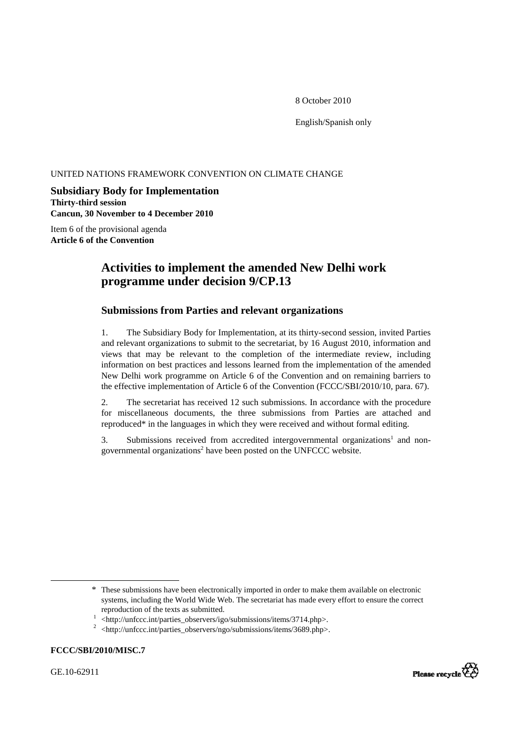8 October 2010

English/Spanish only

# UNITED NATIONS FRAMEWORK CONVENTION ON CLIMATE CHANGE

# **Subsidiary Body for Implementation Thirty-third session Cancun, 30 November to 4 December 2010**

Item 6 of the provisional agenda **Article 6 of the Convention** 

# **Activities to implement the amended New Delhi work programme under decision 9/CP.13**

# **Submissions from Parties and relevant organizations**

1. The Subsidiary Body for Implementation, at its thirty-second session, invited Parties and relevant organizations to submit to the secretariat, by 16 August 2010, information and views that may be relevant to the completion of the intermediate review, including information on best practices and lessons learned from the implementation of the amended New Delhi work programme on Article 6 of the Convention and on remaining barriers to the effective implementation of Article 6 of the Convention (FCCC/SBI/2010/10, para. 67).

2. The secretariat has received 12 such submissions. In accordance with the procedure for miscellaneous documents, the three submissions from Parties are attached and reproduced\* in the languages in which they were received and without formal editing.

3. Submissions received from accredited intergovernmental organizations<sup>1</sup> and nongovernmental organizations<sup>2</sup> have been posted on the UNFCCC website.

# **FCCC/SBI/2010/MISC.7**

GE.10-62911

 $\overline{a}$ 



<sup>\*</sup> These submissions have been electronically imported in order to make them available on electronic systems, including the World Wide Web. The secretariat has made every effort to ensure the correct reproduction of the texts as submitted. 1

 $\frac{1}{1}$  <http://unfccc.int/parties\_observers/igo/submissions/items/3714.php>.

 $2$  <http://unfccc.int/parties\_observers/ngo/submissions/items/3689.php>.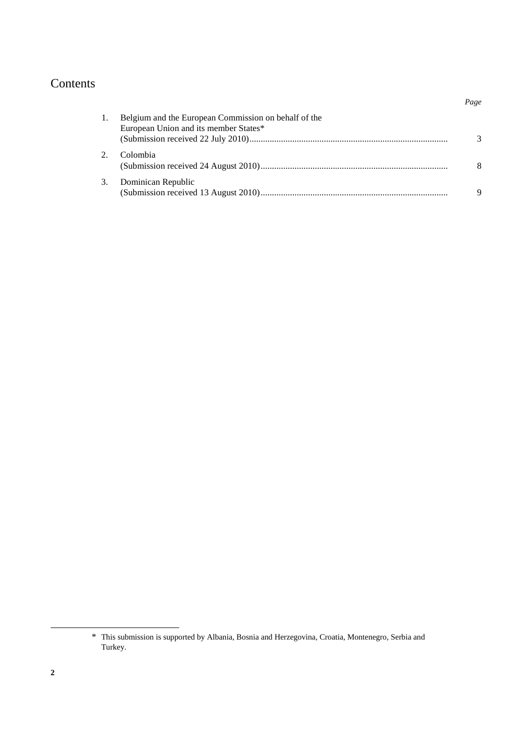# Contents

|    |                                                                                               | Page |
|----|-----------------------------------------------------------------------------------------------|------|
|    | Belgium and the European Commission on behalf of the<br>European Union and its member States* |      |
|    | Colombia                                                                                      |      |
| 3. | Dominican Republic                                                                            | 9    |

 $\overline{a}$ 

<sup>\*</sup> This submission is supported by Albania, Bosnia and Herzegovina, Croatia, Montenegro, Serbia and Turkey.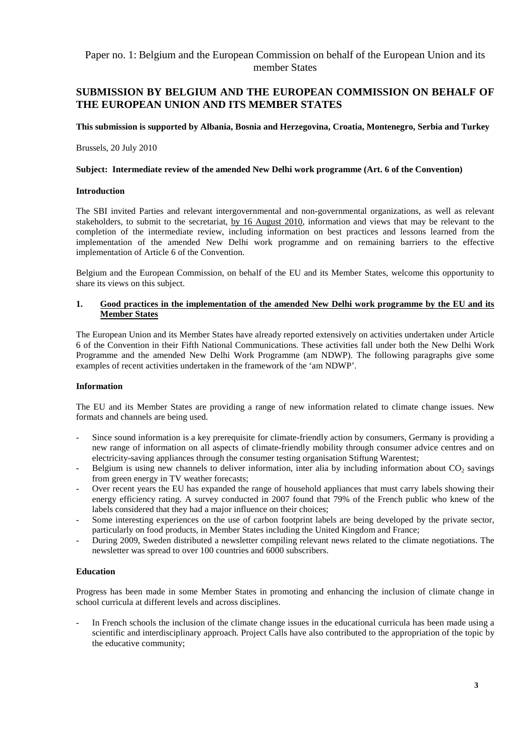# Paper no. 1: Belgium and the European Commission on behalf of the European Union and its member States

# **SUBMISSION BY BELGIUM AND THE EUROPEAN COMMISSION ON BEHALF OF THE EUROPEAN UNION AND ITS MEMBER STATES**

#### **This submission is supported by Albania, Bosnia and Herzegovina, Croatia, Montenegro, Serbia and Turkey**

Brussels, 20 July 2010

#### **Subject: Intermediate review of the amended New Delhi work programme (Art. 6 of the Convention)**

#### **Introduction**

The SBI invited Parties and relevant intergovernmental and non-governmental organizations, as well as relevant stakeholders, to submit to the secretariat, by 16 August 2010, information and views that may be relevant to the completion of the intermediate review, including information on best practices and lessons learned from the implementation of the amended New Delhi work programme and on remaining barriers to the effective implementation of Article 6 of the Convention.

Belgium and the European Commission, on behalf of the EU and its Member States, welcome this opportunity to share its views on this subject.

# **1. Good practices in the implementation of the amended New Delhi work programme by the EU and its Member States**

The European Union and its Member States have already reported extensively on activities undertaken under Article 6 of the Convention in their Fifth National Communications. These activities fall under both the New Delhi Work Programme and the amended New Delhi Work Programme (am NDWP). The following paragraphs give some examples of recent activities undertaken in the framework of the 'am NDWP'.

# **Information**

The EU and its Member States are providing a range of new information related to climate change issues. New formats and channels are being used.

- Since sound information is a key prerequisite for climate-friendly action by consumers, Germany is providing a new range of information on all aspects of climate-friendly mobility through consumer advice centres and on electricity-saving appliances through the consumer testing organisation Stiftung Warentest;
- Belgium is using new channels to deliver information, inter alia by including information about  $CO<sub>2</sub>$  savings from green energy in TV weather forecasts;
- Over recent years the EU has expanded the range of household appliances that must carry labels showing their energy efficiency rating. A survey conducted in 2007 found that 79% of the French public who knew of the labels considered that they had a major influence on their choices;
- Some interesting experiences on the use of carbon footprint labels are being developed by the private sector, particularly on food products, in Member States including the United Kingdom and France;
- During 2009, Sweden distributed a newsletter compiling relevant news related to the climate negotiations. The newsletter was spread to over 100 countries and 6000 subscribers.

# **Education**

Progress has been made in some Member States in promoting and enhancing the inclusion of climate change in school curricula at different levels and across disciplines.

In French schools the inclusion of the climate change issues in the educational curricula has been made using a scientific and interdisciplinary approach. Project Calls have also contributed to the appropriation of the topic by the educative community;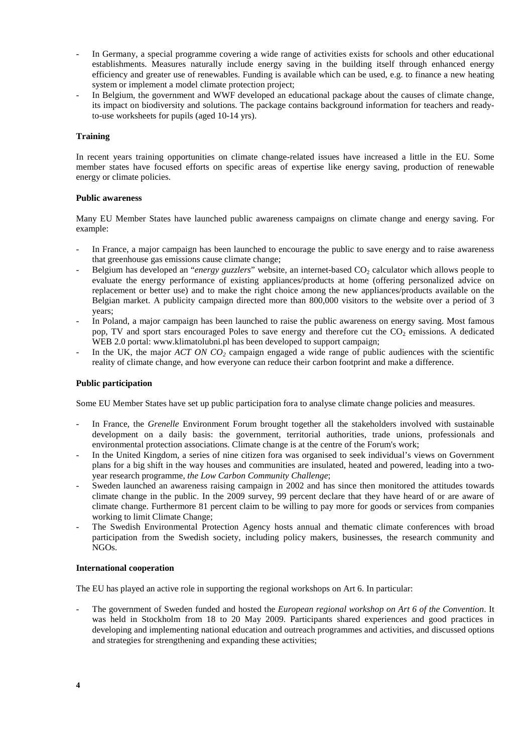- In Germany, a special programme covering a wide range of activities exists for schools and other educational establishments. Measures naturally include energy saving in the building itself through enhanced energy efficiency and greater use of renewables. Funding is available which can be used, e.g. to finance a new heating system or implement a model climate protection project;
- In Belgium, the government and WWF developed an educational package about the causes of climate change, its impact on biodiversity and solutions. The package contains background information for teachers and readyto-use worksheets for pupils (aged 10-14 yrs).

#### **Training**

In recent years training opportunities on climate change-related issues have increased a little in the EU. Some member states have focused efforts on specific areas of expertise like energy saving, production of renewable energy or climate policies.

#### **Public awareness**

Many EU Member States have launched public awareness campaigns on climate change and energy saving. For example:

- In France, a major campaign has been launched to encourage the public to save energy and to raise awareness that greenhouse gas emissions cause climate change;
- Belgium has developed an "*energy guzzlers*" website, an internet-based CO<sub>2</sub> calculator which allows people to evaluate the energy performance of existing appliances/products at home (offering personalized advice on replacement or better use) and to make the right choice among the new appliances/products available on the Belgian market. A publicity campaign directed more than 800,000 visitors to the website over a period of 3 years;
- In Poland, a major campaign has been launched to raise the public awareness on energy saving. Most famous pop, TV and sport stars encouraged Poles to save energy and therefore cut the  $CO<sub>2</sub>$  emissions. A dedicated WEB 2.0 portal: www.klimatolubni.pl has been developed to support campaign;
- In the UK, the major *ACT ON CO<sub>2</sub>* campaign engaged a wide range of public audiences with the scientific reality of climate change, and how everyone can reduce their carbon footprint and make a difference.

#### **Public participation**

Some EU Member States have set up public participation fora to analyse climate change policies and measures.

- In France, the *Grenelle* Environment Forum brought together all the stakeholders involved with sustainable development on a daily basis: the government, territorial authorities, trade unions, professionals and environmental protection associations. Climate change is at the centre of the Forum's work;
- In the United Kingdom, a series of nine citizen fora was organised to seek individual's views on Government plans for a big shift in the way houses and communities are insulated, heated and powered, leading into a twoyear research programme, *the Low Carbon Community Challenge*;
- Sweden launched an awareness raising campaign in 2002 and has since then monitored the attitudes towards climate change in the public. In the 2009 survey, 99 percent declare that they have heard of or are aware of climate change. Furthermore 81 percent claim to be willing to pay more for goods or services from companies working to limit Climate Change;
- The Swedish Environmental Protection Agency hosts annual and thematic climate conferences with broad participation from the Swedish society, including policy makers, businesses, the research community and NGOs.

#### **International cooperation**

The EU has played an active role in supporting the regional workshops on Art 6. In particular:

- The government of Sweden funded and hosted the *European regional workshop on Art 6 of the Convention*. It was held in Stockholm from 18 to 20 May 2009. Participants shared experiences and good practices in developing and implementing national education and outreach programmes and activities, and discussed options and strategies for strengthening and expanding these activities;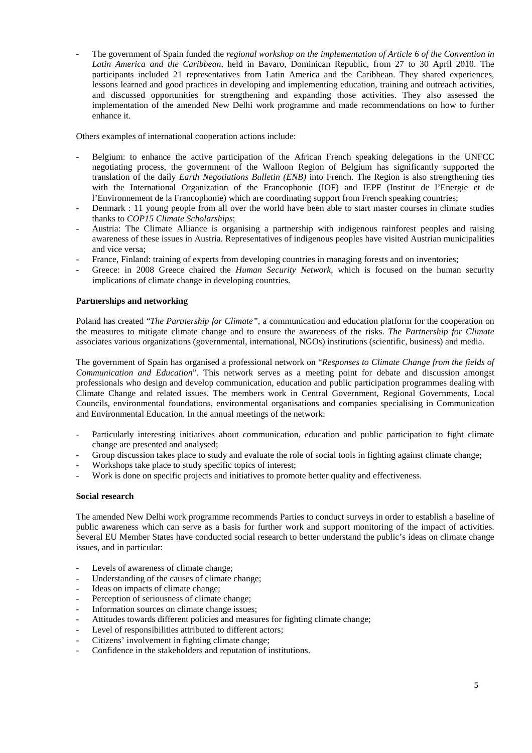The government of Spain funded the *regional workshop on the implementation of Article 6 of the Convention in Latin America and the Caribbean*, held in Bavaro, Dominican Republic, from 27 to 30 April 2010. The participants included 21 representatives from Latin America and the Caribbean. They shared experiences, lessons learned and good practices in developing and implementing education, training and outreach activities, and discussed opportunities for strengthening and expanding those activities. They also assessed the implementation of the amended New Delhi work programme and made recommendations on how to further enhance it.

Others examples of international cooperation actions include:

- Belgium: to enhance the active participation of the African French speaking delegations in the UNFCC negotiating process, the government of the Walloon Region of Belgium has significantly supported the translation of the daily *Earth Negotiations Bulletin (ENB)* into French. The Region is also strengthening ties with the International Organization of the Francophonie (IOF) and IEPF (Institut de l'Energie et de l'Environnement de la Francophonie) which are coordinating support from French speaking countries;
- Denmark : 11 young people from all over the world have been able to start master courses in climate studies thanks to *COP15 Climate Scholarships*;
- Austria: The Climate Alliance is organising a partnership with indigenous rainforest peoples and raising awareness of these issues in Austria. Representatives of indigenous peoples have visited Austrian municipalities and vice versa;
- France, Finland: training of experts from developing countries in managing forests and on inventories;
- Greece: in 2008 Greece chaired the *Human Security Network*, which is focused on the human security implications of climate change in developing countries.

# **Partnerships and networking**

Poland has created "*The Partnership for Climate"*, a communication and education platform for the cooperation on the measures to mitigate climate change and to ensure the awareness of the risks. *The Partnership for Climate* associates various organizations (governmental, international, NGOs) institutions (scientific, business) and media.

The government of Spain has organised a professional network on "*Responses to Climate Change from the fields of Communication and Education*". This network serves as a meeting point for debate and discussion amongst professionals who design and develop communication, education and public participation programmes dealing with Climate Change and related issues. The members work in Central Government, Regional Governments, Local Councils, environmental foundations, environmental organisations and companies specialising in Communication and Environmental Education. In the annual meetings of the network:

- Particularly interesting initiatives about communication, education and public participation to fight climate change are presented and analysed;
- Group discussion takes place to study and evaluate the role of social tools in fighting against climate change;
- Workshops take place to study specific topics of interest;
- Work is done on specific projects and initiatives to promote better quality and effectiveness.

# **Social research**

The amended New Delhi work programme recommends Parties to conduct surveys in order to establish a baseline of public awareness which can serve as a basis for further work and support monitoring of the impact of activities. Several EU Member States have conducted social research to better understand the public's ideas on climate change issues, and in particular:

- Levels of awareness of climate change;
- Understanding of the causes of climate change;
- Ideas on impacts of climate change;
- Perception of seriousness of climate change;
- Information sources on climate change issues;
- Attitudes towards different policies and measures for fighting climate change;
- Level of responsibilities attributed to different actors;
- Citizens' involvement in fighting climate change;
- Confidence in the stakeholders and reputation of institutions.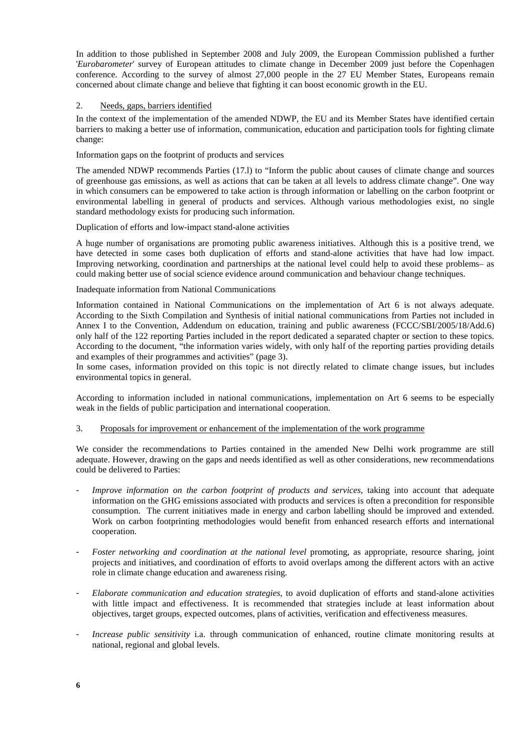In addition to those published in September 2008 and July 2009, the European Commission published a further '*Eurobarometer*' survey of European attitudes to climate change in December 2009 just before the Copenhagen conference. According to the survey of almost 27,000 people in the 27 EU Member States, Europeans remain concerned about climate change and believe that fighting it can boost economic growth in the EU.

### 2. Needs, gaps, barriers identified

In the context of the implementation of the amended NDWP, the EU and its Member States have identified certain barriers to making a better use of information, communication, education and participation tools for fighting climate change:

Information gaps on the footprint of products and services

The amended NDWP recommends Parties (17.l) to "Inform the public about causes of climate change and sources of greenhouse gas emissions, as well as actions that can be taken at all levels to address climate change". One way in which consumers can be empowered to take action is through information or labelling on the carbon footprint or environmental labelling in general of products and services. Although various methodologies exist, no single standard methodology exists for producing such information.

Duplication of efforts and low-impact stand-alone activities

A huge number of organisations are promoting public awareness initiatives. Although this is a positive trend, we have detected in some cases both duplication of efforts and stand-alone activities that have had low impact. Improving networking, coordination and partnerships at the national level could help to avoid these problems– as could making better use of social science evidence around communication and behaviour change techniques.

#### Inadequate information from National Communications

Information contained in National Communications on the implementation of Art 6 is not always adequate. According to the Sixth Compilation and Synthesis of initial national communications from Parties not included in Annex I to the Convention, Addendum on education, training and public awareness (FCCC/SBI/2005/18/Add.6) only half of the 122 reporting Parties included in the report dedicated a separated chapter or section to these topics. According to the document, "the information varies widely, with only half of the reporting parties providing details and examples of their programmes and activities" (page 3).

In some cases, information provided on this topic is not directly related to climate change issues, but includes environmental topics in general.

According to information included in national communications, implementation on Art 6 seems to be especially weak in the fields of public participation and international cooperation.

#### 3. Proposals for improvement or enhancement of the implementation of the work programme

We consider the recommendations to Parties contained in the amended New Delhi work programme are still adequate. However, drawing on the gaps and needs identified as well as other considerations, new recommendations could be delivered to Parties:

- Improve information on the carbon footprint of products and services, taking into account that adequate information on the GHG emissions associated with products and services is often a precondition for responsible consumption. The current initiatives made in energy and carbon labelling should be improved and extended. Work on carbon footprinting methodologies would benefit from enhanced research efforts and international cooperation.
- *Foster networking and coordination at the national level* promoting, as appropriate, resource sharing, joint projects and initiatives, and coordination of efforts to avoid overlaps among the different actors with an active role in climate change education and awareness rising.
- *Elaborate communication and education strategies*, to avoid duplication of efforts and stand-alone activities with little impact and effectiveness. It is recommended that strategies include at least information about objectives, target groups, expected outcomes, plans of activities, verification and effectiveness measures.
- *Increase public sensitivity* i.a. through communication of enhanced, routine climate monitoring results at national, regional and global levels.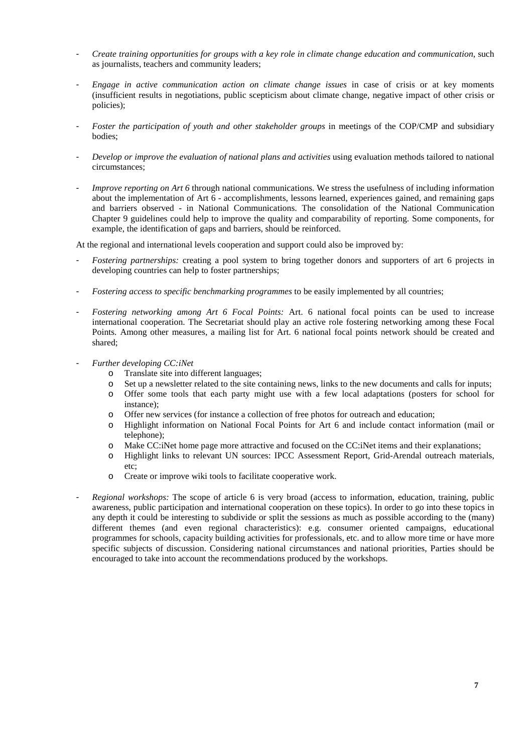- *Create training opportunities for groups with a key role in climate change education and communication*, such as journalists, teachers and community leaders;
- *Engage in active communication action on climate change issues* in case of crisis or at key moments (insufficient results in negotiations, public scepticism about climate change, negative impact of other crisis or policies);
- Foster the participation of youth and other stakeholder groups in meetings of the COP/CMP and subsidiary bodies;
- *Develop or improve the evaluation of national plans and activities* using evaluation methods tailored to national circumstances;
- *Improve reporting on Art 6* through national communications. We stress the usefulness of including information about the implementation of Art 6 - accomplishments, lessons learned, experiences gained, and remaining gaps and barriers observed - in National Communications. The consolidation of the National Communication Chapter 9 guidelines could help to improve the quality and comparability of reporting. Some components, for example, the identification of gaps and barriers, should be reinforced.

At the regional and international levels cooperation and support could also be improved by:

- *Fostering partnerships:* creating a pool system to bring together donors and supporters of art 6 projects in developing countries can help to foster partnerships;
- *Fostering access to specific benchmarking programmes* to be easily implemented by all countries;
- *Fostering networking among Art 6 Focal Points:* Art. 6 national focal points can be used to increase international cooperation. The Secretariat should play an active role fostering networking among these Focal Points. Among other measures, a mailing list for Art. 6 national focal points network should be created and shared;
- *Further developing CC:iNet* 
	- o Translate site into different languages;
	- o Set up a newsletter related to the site containing news, links to the new documents and calls for inputs;
	- o Offer some tools that each party might use with a few local adaptations (posters for school for instance);
	- o Offer new services (for instance a collection of free photos for outreach and education;
	- o Highlight information on National Focal Points for Art 6 and include contact information (mail or telephone);
	- o Make CC:iNet home page more attractive and focused on the CC:iNet items and their explanations;
	- o Highlight links to relevant UN sources: IPCC Assessment Report, Grid-Arendal outreach materials, etc;
	- o Create or improve wiki tools to facilitate cooperative work.
- *Regional workshops:* The scope of article 6 is very broad (access to information, education, training, public awareness, public participation and international cooperation on these topics). In order to go into these topics in any depth it could be interesting to subdivide or split the sessions as much as possible according to the (many) different themes (and even regional characteristics): e.g. consumer oriented campaigns, educational programmes for schools, capacity building activities for professionals, etc. and to allow more time or have more specific subjects of discussion. Considering national circumstances and national priorities, Parties should be encouraged to take into account the recommendations produced by the workshops.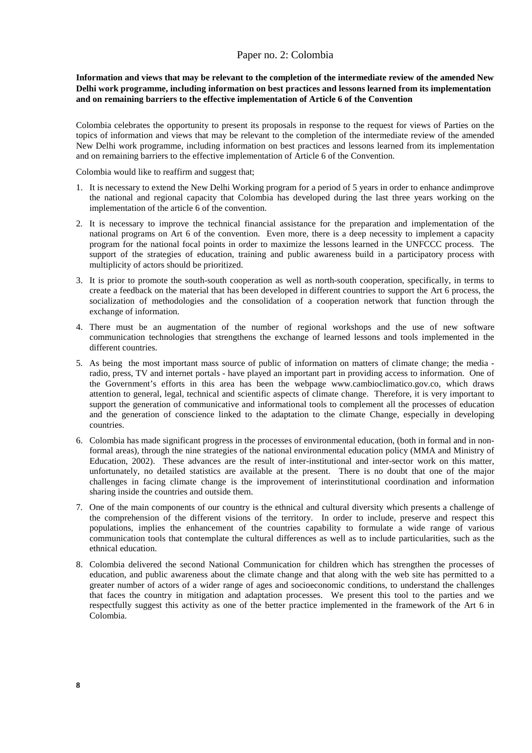# Paper no. 2: Colombia

**Information and views that may be relevant to the completion of the intermediate review of the amended New Delhi work programme, including information on best practices and lessons learned from its implementation and on remaining barriers to the effective implementation of Article 6 of the Convention** 

Colombia celebrates the opportunity to present its proposals in response to the request for views of Parties on the topics of information and views that may be relevant to the completion of the intermediate review of the amended New Delhi work programme, including information on best practices and lessons learned from its implementation and on remaining barriers to the effective implementation of Article 6 of the Convention.

Colombia would like to reaffirm and suggest that;

- 1. It is necessary to extend the New Delhi Working program for a period of 5 years in order to enhance andimprove the national and regional capacity that Colombia has developed during the last three years working on the implementation of the article 6 of the convention.
- 2. It is necessary to improve the technical financial assistance for the preparation and implementation of the national programs on Art 6 of the convention. Even more, there is a deep necessity to implement a capacity program for the national focal points in order to maximize the lessons learned in the UNFCCC process. The support of the strategies of education, training and public awareness build in a participatory process with multiplicity of actors should be prioritized.
- 3. It is prior to promote the south-south cooperation as well as north-south cooperation, specifically, in terms to create a feedback on the material that has been developed in different countries to support the Art 6 process, the socialization of methodologies and the consolidation of a cooperation network that function through the exchange of information.
- 4. There must be an augmentation of the number of regional workshops and the use of new software communication technologies that strengthens the exchange of learned lessons and tools implemented in the different countries.
- 5. As being the most important mass source of public of information on matters of climate change; the media radio, press, TV and internet portals - have played an important part in providing access to information. One of the Government's efforts in this area has been the webpage www.cambioclimatico.gov.co, which draws attention to general, legal, technical and scientific aspects of climate change. Therefore, it is very important to support the generation of communicative and informational tools to complement all the processes of education and the generation of conscience linked to the adaptation to the climate Change, especially in developing countries.
- 6. Colombia has made significant progress in the processes of environmental education, (both in formal and in nonformal areas), through the nine strategies of the national environmental education policy (MMA and Ministry of Education, 2002). These advances are the result of inter-institutional and inter-sector work on this matter, unfortunately, no detailed statistics are available at the present. There is no doubt that one of the major challenges in facing climate change is the improvement of interinstitutional coordination and information sharing inside the countries and outside them.
- 7. One of the main components of our country is the ethnical and cultural diversity which presents a challenge of the comprehension of the different visions of the territory. In order to include, preserve and respect this populations, implies the enhancement of the countries capability to formulate a wide range of various communication tools that contemplate the cultural differences as well as to include particularities, such as the ethnical education.
- 8. Colombia delivered the second National Communication for children which has strengthen the processes of education, and public awareness about the climate change and that along with the web site has permitted to a greater number of actors of a wider range of ages and socioeconomic conditions, to understand the challenges that faces the country in mitigation and adaptation processes. We present this tool to the parties and we respectfully suggest this activity as one of the better practice implemented in the framework of the Art 6 in Colombia.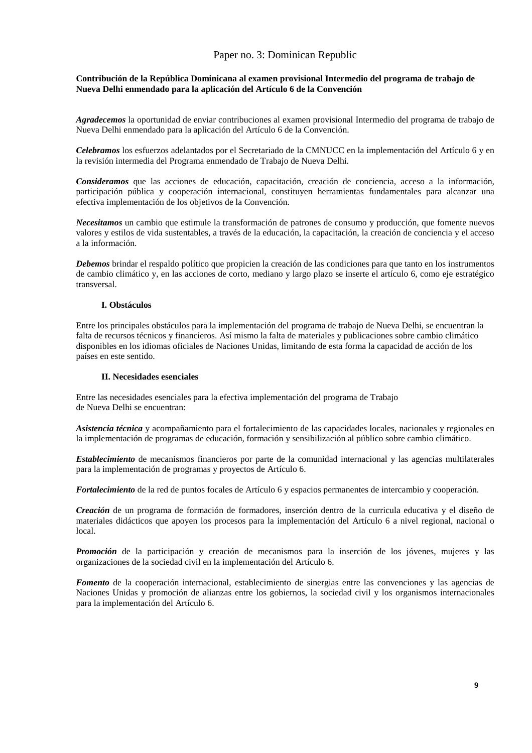# Paper no. 3: Dominican Republic

### **Contribución de la República Dominicana al examen provisional Intermedio del programa de trabajo de Nueva Delhi enmendado para la aplicación del Artículo 6 de la Convención**

*Agradecemos* la oportunidad de enviar contribuciones al examen provisional Intermedio del programa de trabajo de Nueva Delhi enmendado para la aplicación del Artículo 6 de la Convención.

*Celebramos* los esfuerzos adelantados por el Secretariado de la CMNUCC en la implementación del Artículo 6 y en la revisión intermedia del Programa enmendado de Trabajo de Nueva Delhi.

*Consideramos* que las acciones de educación, capacitación, creación de conciencia, acceso a la información, participación pública y cooperación internacional, constituyen herramientas fundamentales para alcanzar una efectiva implementación de los objetivos de la Convención.

*Necesitamos* un cambio que estimule la transformación de patrones de consumo y producción, que fomente nuevos valores y estilos de vida sustentables, a través de la educación, la capacitación, la creación de conciencia y el acceso a la información.

*Debemos* brindar el respaldo político que propicien la creación de las condiciones para que tanto en los instrumentos de cambio climático y, en las acciones de corto, mediano y largo plazo se inserte el artículo 6, como eje estratégico transversal.

#### **I. Obstáculos**

Entre los principales obstáculos para la implementación del programa de trabajo de Nueva Delhi, se encuentran la falta de recursos técnicos y financieros. Así mismo la falta de materiales y publicaciones sobre cambio climático disponibles en los idiomas oficiales de Naciones Unidas, limitando de esta forma la capacidad de acción de los países en este sentido.

#### **II. Necesidades esenciales**

Entre las necesidades esenciales para la efectiva implementación del programa de Trabajo de Nueva Delhi se encuentran:

*Asistencia técnica* y acompañamiento para el fortalecimiento de las capacidades locales, nacionales y regionales en la implementación de programas de educación, formación y sensibilización al público sobre cambio climático.

*Establecimiento* de mecanismos financieros por parte de la comunidad internacional y las agencias multilaterales para la implementación de programas y proyectos de Artículo 6.

*Fortalecimiento* de la red de puntos focales de Artículo 6 y espacios permanentes de intercambio y cooperación.

*Creación* de un programa de formación de formadores, inserción dentro de la curricula educativa y el diseño de materiales didácticos que apoyen los procesos para la implementación del Artículo 6 a nivel regional, nacional o local.

*Promoción* de la participación y creación de mecanismos para la inserción de los jóvenes, mujeres y las organizaciones de la sociedad civil en la implementación del Artículo 6.

*Fomento* de la cooperación internacional, establecimiento de sinergias entre las convenciones y las agencias de Naciones Unidas y promoción de alianzas entre los gobiernos, la sociedad civil y los organismos internacionales para la implementación del Artículo 6.